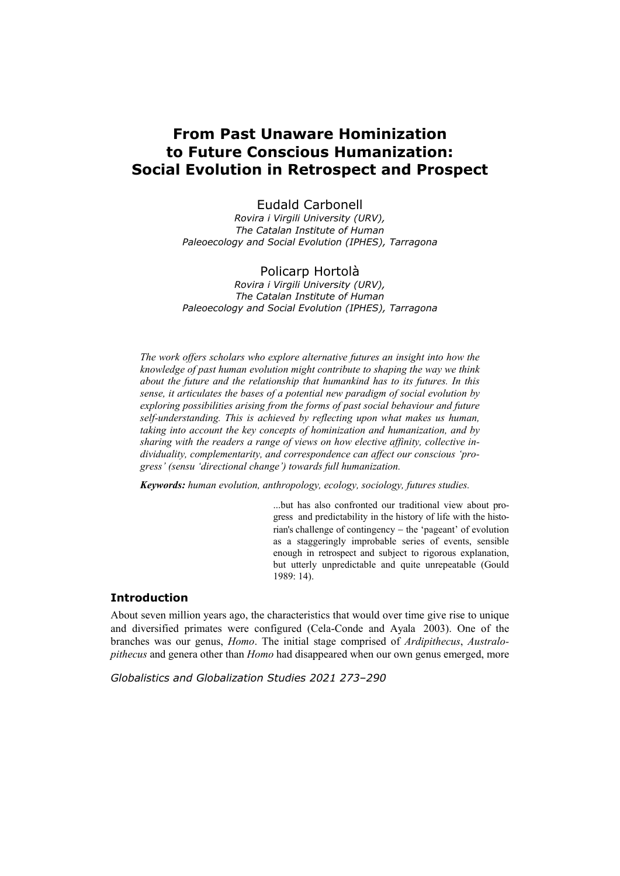# **From Past Unaware Hominization to Future Conscious Humanization: Social Evolution in Retrospect and Prospect**

Eudald Carbonell *Rovira i Virgili University (URV), The Catalan Institute of Human Paleoecology and Social Evolution (IPHES), Tarragona*

Policarp Hortolà

*Rovira i Virgili University (URV), The Catalan Institute of Human Paleoecology and Social Evolution (IPHES), Tarragona*

*The work offers scholars who explore alternative futures an insight into how the knowledge of past human evolution might contribute to shaping the way we think about the future and the relationship that humankind has to its futures. In this sense, it articulates the bases of a potential new paradigm of social evolution by exploring possibilities arising from the forms of past social behaviour and future self-understanding. This is achieved by reflecting upon what makes us human, taking into account the key concepts of hominization and humanization, and by sharing with the readers a range of views on how elective affinity, collective individuality, complementarity, and correspondence can affect our conscious 'progress' (sensu 'directional change') towards full humanization.* 

*Keywords: human evolution, anthropology, ecology, sociology, futures studies.* 

...but has also confronted our traditional view about progress and predictability in the history of life with the historian's challenge of contingency  $-$  the 'pageant' of evolution as a staggeringly improbable series of events, sensible enough in retrospect and subject to rigorous explanation, but utterly unpredictable and quite unrepeatable (Gould  $1989 \cdot 14$ 

## **Introduction**

About seven million years ago, the characteristics that would over time give rise to unique and diversified primates were configured (Cela-Conde and Ayala 2003). One of the branches was our genus, *Homo*. The initial stage comprised of *Ardipithecus*, *Australopithecus* and genera other than *Homo* had disappeared when our own genus emerged, more

*Globalistics and Globalization Studies 2021 273–290*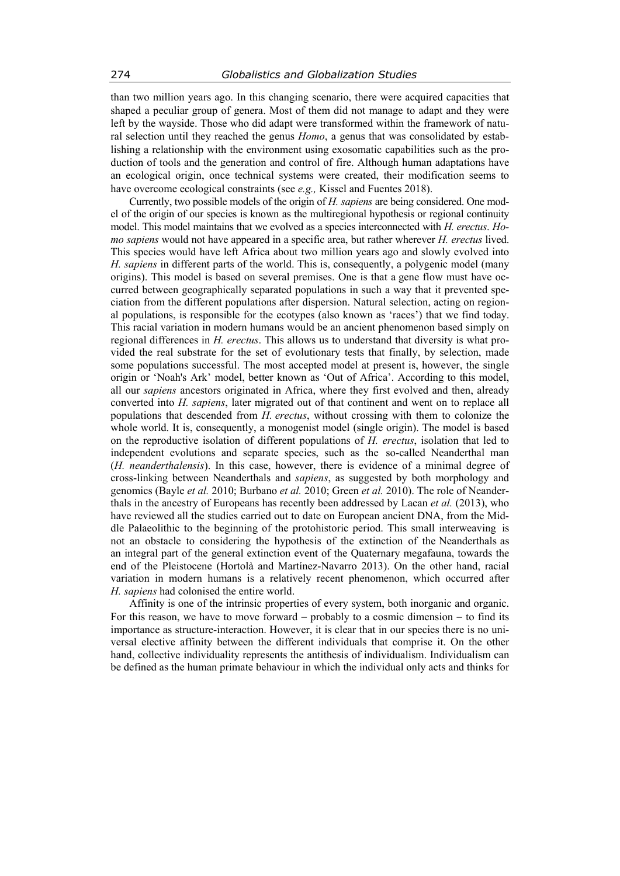than two million years ago. In this changing scenario, there were acquired capacities that shaped a peculiar group of genera. Most of them did not manage to adapt and they were left by the wayside. Those who did adapt were transformed within the framework of natural selection until they reached the genus *Homo*, a genus that was consolidated by establishing a relationship with the environment using exosomatic capabilities such as the production of tools and the generation and control of fire. Although human adaptations have an ecological origin, once technical systems were created, their modification seems to have overcome ecological constraints (see *e.g.,* Kissel and Fuentes 2018).

Currently, two possible models of the origin of *H. sapiens* are being considered. One model of the origin of our species is known as the multiregional hypothesis or regional continuity model. This model maintains that we evolved as a species interconnected with *H. erectus*. *Homo sapiens* would not have appeared in a specific area, but rather wherever *H. erectus* lived. This species would have left Africa about two million years ago and slowly evolved into *H. sapiens* in different parts of the world. This is, consequently, a polygenic model (many origins). This model is based on several premises. One is that a gene flow must have occurred between geographically separated populations in such a way that it prevented speciation from the different populations after dispersion. Natural selection, acting on regional populations, is responsible for the ecotypes (also known as 'races') that we find today. This racial variation in modern humans would be an ancient phenomenon based simply on regional differences in *H. erectus*. This allows us to understand that diversity is what provided the real substrate for the set of evolutionary tests that finally, by selection, made some populations successful. The most accepted model at present is, however, the single origin or 'Noah's Ark' model, better known as 'Out of Africa'. According to this model, all our *sapiens* ancestors originated in Africa, where they first evolved and then, already converted into *H. sapiens*, later migrated out of that continent and went on to replace all populations that descended from *H. erectus*, without crossing with them to colonize the whole world. It is, consequently, a monogenist model (single origin). The model is based on the reproductive isolation of different populations of *H. erectus*, isolation that led to independent evolutions and separate species, such as the so-called Neanderthal man (*H. neanderthalensis*). In this case, however, there is evidence of a minimal degree of cross-linking between Neanderthals and *sapiens*, as suggested by both morphology and genomics (Bayle *et al.* 2010; Burbano *et al.* 2010; Green *et al.* 2010). The role of Neanderthals in the ancestry of Europeans has recently been addressed by Lacan *et al.* (2013), who have reviewed all the studies carried out to date on European ancient DNA, from the Middle Palaeolithic to the beginning of the protohistoric period. This small interweaving is not an obstacle to considering the hypothesis of the extinction of the Neanderthals as an integral part of the general extinction event of the Quaternary megafauna, towards the end of the Pleistocene (Hortolà and Martínez-Navarro 2013). On the other hand, racial variation in modern humans is a relatively recent phenomenon, which occurred after *H. sapiens* had colonised the entire world.

Affinity is one of the intrinsic properties of every system, both inorganic and organic. For this reason, we have to move forward  $-$  probably to a cosmic dimension  $-$  to find its importance as structure-interaction. However, it is clear that in our species there is no universal elective affinity between the different individuals that comprise it. On the other hand, collective individuality represents the antithesis of individualism. Individualism can be defined as the human primate behaviour in which the individual only acts and thinks for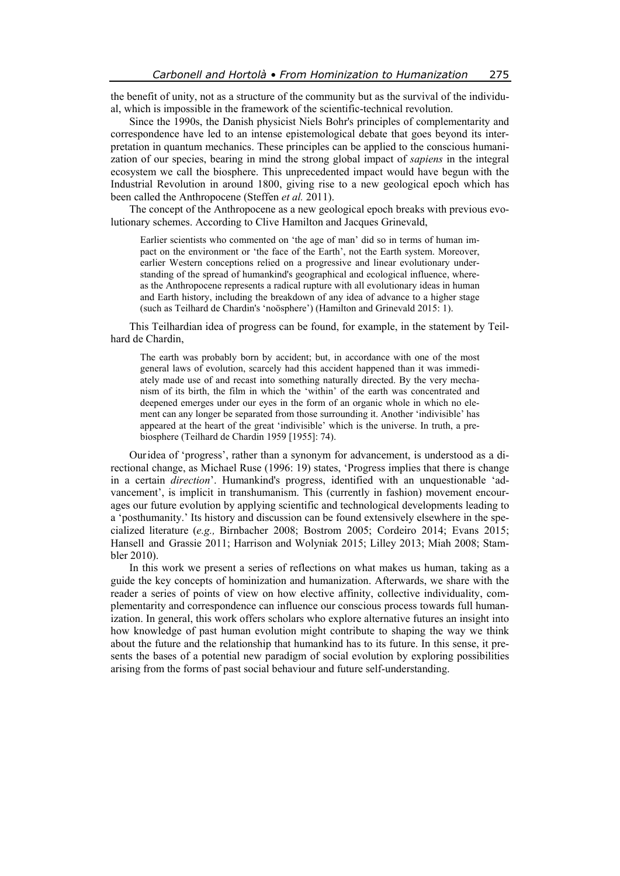the benefit of unity, not as a structure of the community but as the survival of the individual, which is impossible in the framework of the scientific-technical revolution.

Since the 1990s, the Danish physicist Niels Bohr's principles of complementarity and correspondence have led to an intense epistemological debate that goes beyond its interpretation in quantum mechanics. These principles can be applied to the conscious humanization of our species, bearing in mind the strong global impact of *sapiens* in the integral ecosystem we call the biosphere. This unprecedented impact would have begun with the Industrial Revolution in around 1800, giving rise to a new geological epoch which has been called the Anthropocene (Steffen *et al.* 2011).

The concept of the Anthropocene as a new geological epoch breaks with previous evolutionary schemes. According to Clive Hamilton and Jacques Grinevald,

Earlier scientists who commented on 'the age of man' did so in terms of human impact on the environment or 'the face of the Earth', not the Earth system. Moreover, earlier Western conceptions relied on a progressive and linear evolutionary understanding of the spread of humankind's geographical and ecological influence, whereas the Anthropocene represents a radical rupture with all evolutionary ideas in human and Earth history, including the breakdown of any idea of advance to a higher stage (such as Teilhard de Chardin's 'noösphere') (Hamilton and Grinevald 2015: 1).

This Teilhardian idea of progress can be found, for example, in the statement by Teilhard de Chardin,

The earth was probably born by accident; but, in accordance with one of the most general laws of evolution, scarcely had this accident happened than it was immediately made use of and recast into something naturally directed. By the very mechanism of its birth, the film in which the 'within' of the earth was concentrated and deepened emerges under our eyes in the form of an organic whole in which no element can any longer be separated from those surrounding it. Another 'indivisible' has appeared at the heart of the great 'indivisible' which is the universe. In truth, a prebiosphere (Teilhard de Chardin 1959 [1955]: 74).

Our idea of 'progress', rather than a synonym for advancement, is understood as a directional change, as Michael Ruse (1996: 19) states, 'Progress implies that there is change in a certain *direction*'. Humankind's progress, identified with an unquestionable 'advancement', is implicit in transhumanism. This (currently in fashion) movement encourages our future evolution by applying scientific and technological developments leading to a 'posthumanity.' Its history and discussion can be found extensively elsewhere in the specialized literature (*e.g.,* Birnbacher 2008; Bostrom 2005; Cordeiro 2014; Evans 2015; Hansell and Grassie 2011; Harrison and Wolyniak 2015; Lilley 2013; Miah 2008; Stambler 2010).

In this work we present a series of reflections on what makes us human, taking as a guide the key concepts of hominization and humanization. Afterwards, we share with the reader a series of points of view on how elective affinity, collective individuality, complementarity and correspondence can influence our conscious process towards full humanization. In general, this work offers scholars who explore alternative futures an insight into how knowledge of past human evolution might contribute to shaping the way we think about the future and the relationship that humankind has to its future. In this sense, it presents the bases of a potential new paradigm of social evolution by exploring possibilities arising from the forms of past social behaviour and future self-understanding.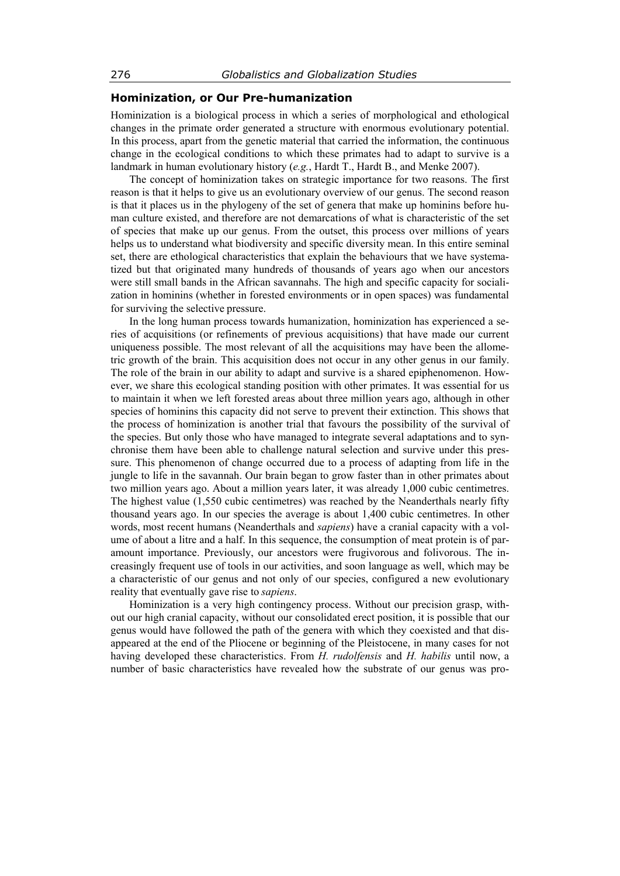### **Hominization, or Our Pre-humanization**

Hominization is a biological process in which a series of morphological and ethological changes in the primate order generated a structure with enormous evolutionary potential. In this process, apart from the genetic material that carried the information, the continuous change in the ecological conditions to which these primates had to adapt to survive is a landmark in human evolutionary history (*e.g.*, Hardt T., Hardt B., and Menke 2007).

The concept of hominization takes on strategic importance for two reasons. The first reason is that it helps to give us an evolutionary overview of our genus. The second reason is that it places us in the phylogeny of the set of genera that make up hominins before human culture existed, and therefore are not demarcations of what is characteristic of the set of species that make up our genus. From the outset, this process over millions of years helps us to understand what biodiversity and specific diversity mean. In this entire seminal set, there are ethological characteristics that explain the behaviours that we have systematized but that originated many hundreds of thousands of years ago when our ancestors were still small bands in the African savannahs. The high and specific capacity for socialization in hominins (whether in forested environments or in open spaces) was fundamental for surviving the selective pressure.

In the long human process towards humanization, hominization has experienced a series of acquisitions (or refinements of previous acquisitions) that have made our current uniqueness possible. The most relevant of all the acquisitions may have been the allometric growth of the brain. This acquisition does not occur in any other genus in our family. The role of the brain in our ability to adapt and survive is a shared epiphenomenon. However, we share this ecological standing position with other primates. It was essential for us to maintain it when we left forested areas about three million years ago, although in other species of hominins this capacity did not serve to prevent their extinction. This shows that the process of hominization is another trial that favours the possibility of the survival of the species. But only those who have managed to integrate several adaptations and to synchronise them have been able to challenge natural selection and survive under this pressure. This phenomenon of change occurred due to a process of adapting from life in the jungle to life in the savannah. Our brain began to grow faster than in other primates about two million years ago. About a million years later, it was already 1,000 cubic centimetres. The highest value (1,550 cubic centimetres) was reached by the Neanderthals nearly fifty thousand years ago. In our species the average is about 1,400 cubic centimetres. In other words, most recent humans (Neanderthals and *sapiens*) have a cranial capacity with a volume of about a litre and a half. In this sequence, the consumption of meat protein is of paramount importance. Previously, our ancestors were frugivorous and folivorous. The increasingly frequent use of tools in our activities, and soon language as well, which may be a characteristic of our genus and not only of our species, configured a new evolutionary reality that eventually gave rise to *sapiens*.

Hominization is a very high contingency process. Without our precision grasp, without our high cranial capacity, without our consolidated erect position, it is possible that our genus would have followed the path of the genera with which they coexisted and that disappeared at the end of the Pliocene or beginning of the Pleistocene, in many cases for not having developed these characteristics. From *H. rudolfensis* and *H. habilis* until now, a number of basic characteristics have revealed how the substrate of our genus was pro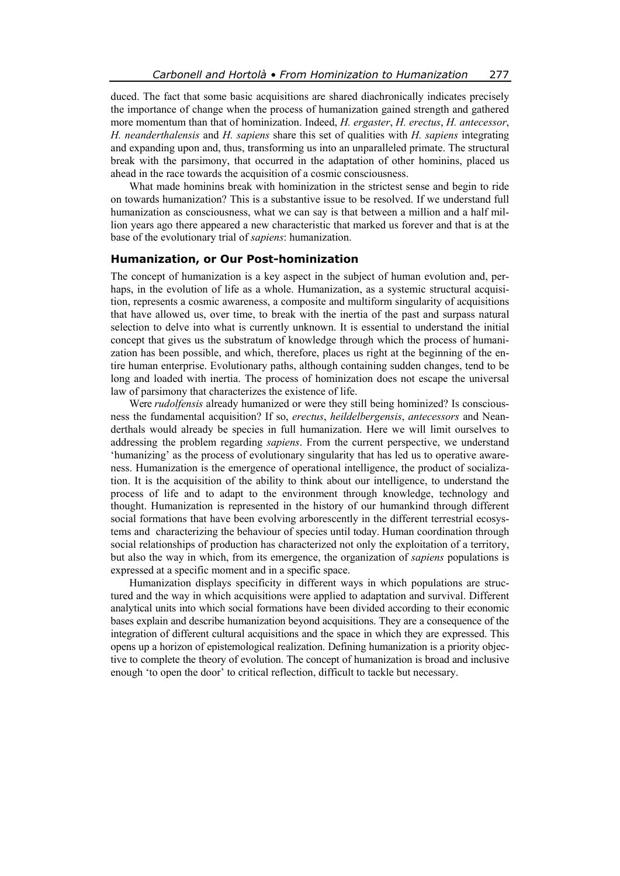duced. The fact that some basic acquisitions are shared diachronically indicates precisely the importance of change when the process of humanization gained strength and gathered more momentum than that of hominization. Indeed, *H. ergaster*, *H. erectus*, *H. antecessor*, *H. neanderthalensis* and *H. sapiens* share this set of qualities with *H. sapiens* integrating and expanding upon and, thus, transforming us into an unparalleled primate. The structural break with the parsimony, that occurred in the adaptation of other hominins, placed us ahead in the race towards the acquisition of a cosmic consciousness.

What made hominins break with hominization in the strictest sense and begin to ride on towards humanization? This is a substantive issue to be resolved. If we understand full humanization as consciousness, what we can say is that between a million and a half million years ago there appeared a new characteristic that marked us forever and that is at the base of the evolutionary trial of *sapiens*: humanization.

#### **Humanization, or Our Post-hominization**

The concept of humanization is a key aspect in the subject of human evolution and, perhaps, in the evolution of life as a whole. Humanization, as a systemic structural acquisition, represents a cosmic awareness, a composite and multiform singularity of acquisitions that have allowed us, over time, to break with the inertia of the past and surpass natural selection to delve into what is currently unknown. It is essential to understand the initial concept that gives us the substratum of knowledge through which the process of humanization has been possible, and which, therefore, places us right at the beginning of the entire human enterprise. Evolutionary paths, although containing sudden changes, tend to be long and loaded with inertia. The process of hominization does not escape the universal law of parsimony that characterizes the existence of life.

Were *rudolfensis* already humanized or were they still being hominized? Is consciousness the fundamental acquisition? If so, *erectus*, *heildelbergensis*, *antecessors* and Neanderthals would already be species in full humanization. Here we will limit ourselves to addressing the problem regarding *sapiens*. From the current perspective, we understand 'humanizing' as the process of evolutionary singularity that has led us to operative awareness. Humanization is the emergence of operational intelligence, the product of socialization. It is the acquisition of the ability to think about our intelligence, to understand the process of life and to adapt to the environment through knowledge, technology and thought. Humanization is represented in the history of our humankind through different social formations that have been evolving arborescently in the different terrestrial ecosystems and characterizing the behaviour of species until today. Human coordination through social relationships of production has characterized not only the exploitation of a territory, but also the way in which, from its emergence, the organization of *sapiens* populations is expressed at a specific moment and in a specific space.

Humanization displays specificity in different ways in which populations are structured and the way in which acquisitions were applied to adaptation and survival. Different analytical units into which social formations have been divided according to their economic bases explain and describe humanization beyond acquisitions. They are a consequence of the integration of different cultural acquisitions and the space in which they are expressed. This opens up a horizon of epistemological realization. Defining humanization is a priority objective to complete the theory of evolution. The concept of humanization is broad and inclusive enough 'to open the door' to critical reflection, difficult to tackle but necessary.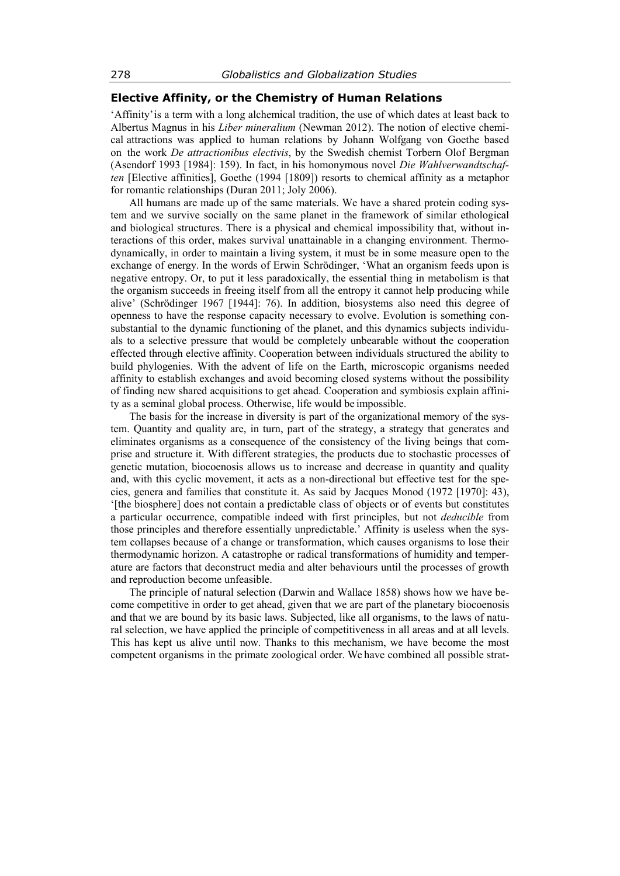## **Elective Affinity, or the Chemistry of Human Relations**

'Affinity' is a term with a long alchemical tradition, the use of which dates at least back to Albertus Magnus in his *Liber mineralium* (Newman 2012). The notion of elective chemical attractions was applied to human relations by Johann Wolfgang von Goethe based on the work *De attractionibus electivis*, by the Swedish chemist Torbern Olof Bergman (Asendorf 1993 [1984]: 159). In fact, in his homonymous novel *Die Wahlverwandtschaften* [Elective affinities], Goethe (1994 [1809]) resorts to chemical affinity as a metaphor for romantic relationships (Duran 2011; Joly 2006).

All humans are made up of the same materials. We have a shared protein coding system and we survive socially on the same planet in the framework of similar ethological and biological structures. There is a physical and chemical impossibility that, without interactions of this order, makes survival unattainable in a changing environment. Thermodynamically, in order to maintain a living system, it must be in some measure open to the exchange of energy. In the words of Erwin Schrödinger, 'What an organism feeds upon is negative entropy. Or, to put it less paradoxically, the essential thing in metabolism is that the organism succeeds in freeing itself from all the entropy it cannot help producing while alive' (Schrödinger 1967 [1944]: 76). In addition, biosystems also need this degree of openness to have the response capacity necessary to evolve. Evolution is something consubstantial to the dynamic functioning of the planet, and this dynamics subjects individuals to a selective pressure that would be completely unbearable without the cooperation effected through elective affinity. Cooperation between individuals structured the ability to build phylogenies. With the advent of life on the Earth, microscopic organisms needed affinity to establish exchanges and avoid becoming closed systems without the possibility of finding new shared acquisitions to get ahead. Cooperation and symbiosis explain affinity as a seminal global process. Otherwise, life would be impossible.

The basis for the increase in diversity is part of the organizational memory of the system. Quantity and quality are, in turn, part of the strategy, a strategy that generates and eliminates organisms as a consequence of the consistency of the living beings that comprise and structure it. With different strategies, the products due to stochastic processes of genetic mutation, biocoenosis allows us to increase and decrease in quantity and quality and, with this cyclic movement, it acts as a non-directional but effective test for the species, genera and families that constitute it. As said by Jacques Monod (1972 [1970]: 43), '[the biosphere] does not contain a predictable class of objects or of events but constitutes a particular occurrence, compatible indeed with first principles, but not *deducible* from those principles and therefore essentially unpredictable.' Affinity is useless when the system collapses because of a change or transformation, which causes organisms to lose their thermodynamic horizon. A catastrophe or radical transformations of humidity and temperature are factors that deconstruct media and alter behaviours until the processes of growth and reproduction become unfeasible.

The principle of natural selection (Darwin and Wallace 1858) shows how we have become competitive in order to get ahead, given that we are part of the planetary biocoenosis and that we are bound by its basic laws. Subjected, like all organisms, to the laws of natural selection, we have applied the principle of competitiveness in all areas and at all levels. This has kept us alive until now. Thanks to this mechanism, we have become the most competent organisms in the primate zoological order. We have combined all possible strat-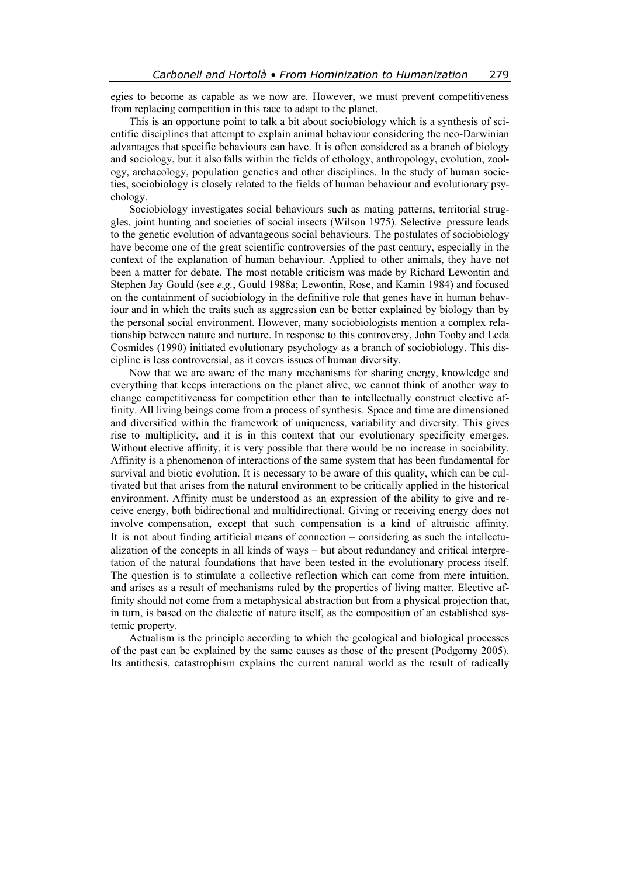egies to become as capable as we now are. However, we must prevent competitiveness from replacing competition in this race to adapt to the planet.

This is an opportune point to talk a bit about sociobiology which is a synthesis of scientific disciplines that attempt to explain animal behaviour considering the neo-Darwinian advantages that specific behaviours can have. It is often considered as a branch of biology and sociology, but it also falls within the fields of ethology, anthropology, evolution, zoology, archaeology, population genetics and other disciplines. In the study of human societies, sociobiology is closely related to the fields of human behaviour and evolutionary psychology.

Sociobiology investigates social behaviours such as mating patterns, territorial struggles, joint hunting and societies of social insects (Wilson 1975). Selective pressure leads to the genetic evolution of advantageous social behaviours. The postulates of sociobiology have become one of the great scientific controversies of the past century, especially in the context of the explanation of human behaviour. Applied to other animals, they have not been a matter for debate. The most notable criticism was made by Richard Lewontin and Stephen Jay Gould (see *e.g.*, Gould 1988a; Lewontin, Rose, and Kamin 1984) and focused on the containment of sociobiology in the definitive role that genes have in human behaviour and in which the traits such as aggression can be better explained by biology than by the personal social environment. However, many sociobiologists mention a complex relationship between nature and nurture. In response to this controversy, John Tooby and Leda Cosmides (1990) initiated evolutionary psychology as a branch of sociobiology. This discipline is less controversial, as it covers issues of human diversity.

Now that we are aware of the many mechanisms for sharing energy, knowledge and everything that keeps interactions on the planet alive, we cannot think of another way to change competitiveness for competition other than to intellectually construct elective affinity. All living beings come from a process of synthesis. Space and time are dimensioned and diversified within the framework of uniqueness, variability and diversity. This gives rise to multiplicity, and it is in this context that our evolutionary specificity emerges. Without elective affinity, it is very possible that there would be no increase in sociability. Affinity is a phenomenon of interactions of the same system that has been fundamental for survival and biotic evolution. It is necessary to be aware of this quality, which can be cultivated but that arises from the natural environment to be critically applied in the historical environment. Affinity must be understood as an expression of the ability to give and receive energy, both bidirectional and multidirectional. Giving or receiving energy does not involve compensation, except that such compensation is a kind of altruistic affinity. It is not about finding artificial means of connection considering as such the intellectualization of the concepts in all kinds of ways  $-$  but about redundancy and critical interpretation of the natural foundations that have been tested in the evolutionary process itself. The question is to stimulate a collective reflection which can come from mere intuition, and arises as a result of mechanisms ruled by the properties of living matter. Elective affinity should not come from a metaphysical abstraction but from a physical projection that, in turn, is based on the dialectic of nature itself, as the composition of an established systemic property.

Actualism is the principle according to which the geological and biological processes of the past can be explained by the same causes as those of the present (Podgorny 2005). Its antithesis, catastrophism explains the current natural world as the result of radically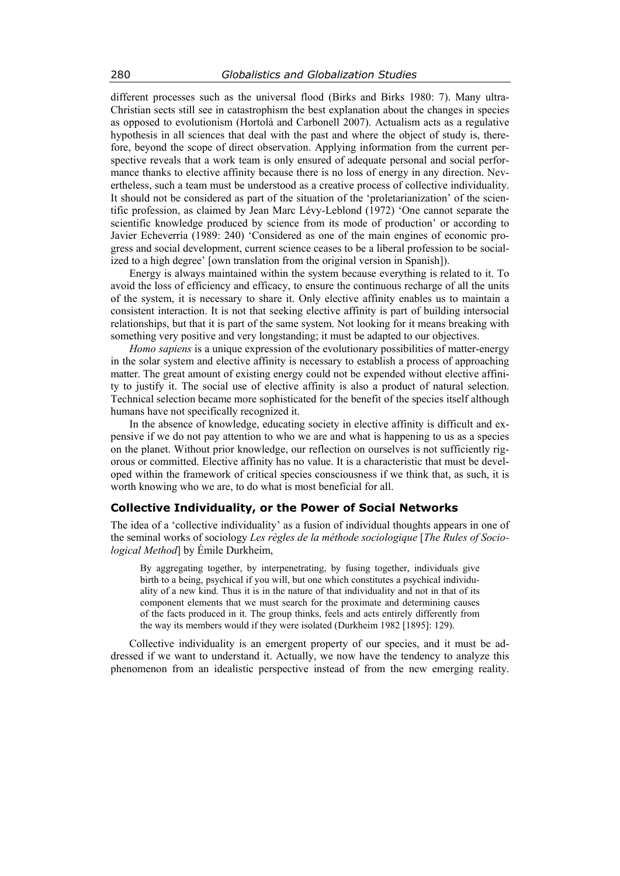different processes such as the universal flood (Birks and Birks 1980: 7). Many ultra-Christian sects still see in catastrophism the best explanation about the changes in species as opposed to evolutionism (Hortolà and Carbonell 2007). Actualism acts as a regulative hypothesis in all sciences that deal with the past and where the object of study is, therefore, beyond the scope of direct observation. Applying information from the current perspective reveals that a work team is only ensured of adequate personal and social performance thanks to elective affinity because there is no loss of energy in any direction. Nevertheless, such a team must be understood as a creative process of collective individuality. It should not be considered as part of the situation of the 'proletarianization' of the scientific profession, as claimed by Jean Marc Lévy-Leblond (1972) 'One cannot separate the scientific knowledge produced by science from its mode of production' or according to Javier Echeverría (1989: 240) 'Considered as one of the main engines of economic progress and social development, current science ceases to be a liberal profession to be socialized to a high degree' [own translation from the original version in Spanish]).

Energy is always maintained within the system because everything is related to it. To avoid the loss of efficiency and efficacy, to ensure the continuous recharge of all the units of the system, it is necessary to share it. Only elective affinity enables us to maintain a consistent interaction. It is not that seeking elective affinity is part of building intersocial relationships, but that it is part of the same system. Not looking for it means breaking with something very positive and very longstanding; it must be adapted to our objectives.

*Homo sapiens* is a unique expression of the evolutionary possibilities of matter-energy in the solar system and elective affinity is necessary to establish a process of approaching matter. The great amount of existing energy could not be expended without elective affinity to justify it. The social use of elective affinity is also a product of natural selection. Technical selection became more sophisticated for the benefit of the species itself although humans have not specifically recognized it.

In the absence of knowledge, educating society in elective affinity is difficult and expensive if we do not pay attention to who we are and what is happening to us as a species on the planet. Without prior knowledge, our reflection on ourselves is not sufficiently rigorous or committed. Elective affinity has no value. It is a characteristic that must be developed within the framework of critical species consciousness if we think that, as such, it is worth knowing who we are, to do what is most beneficial for all.

## **Collective Individuality, or the Power of Social Networks**

The idea of a 'collective individuality' as a fusion of individual thoughts appears in one of the seminal works of sociology *Les règles de la méthode sociologique* [*The Rules of Sociological Method*] by Émile Durkheim,

By aggregating together, by interpenetrating, by fusing together, individuals give birth to a being, psychical if you will, but one which constitutes a psychical individuality of a new kind. Thus it is in the nature of that individuality and not in that of its component elements that we must search for the proximate and determining causes of the facts produced in it. The group thinks, feels and acts entirely differently from the way its members would if they were isolated (Durkheim 1982 [1895]: 129).

Collective individuality is an emergent property of our species, and it must be addressed if we want to understand it. Actually, we now have the tendency to analyze this phenomenon from an idealistic perspective instead of from the new emerging reality.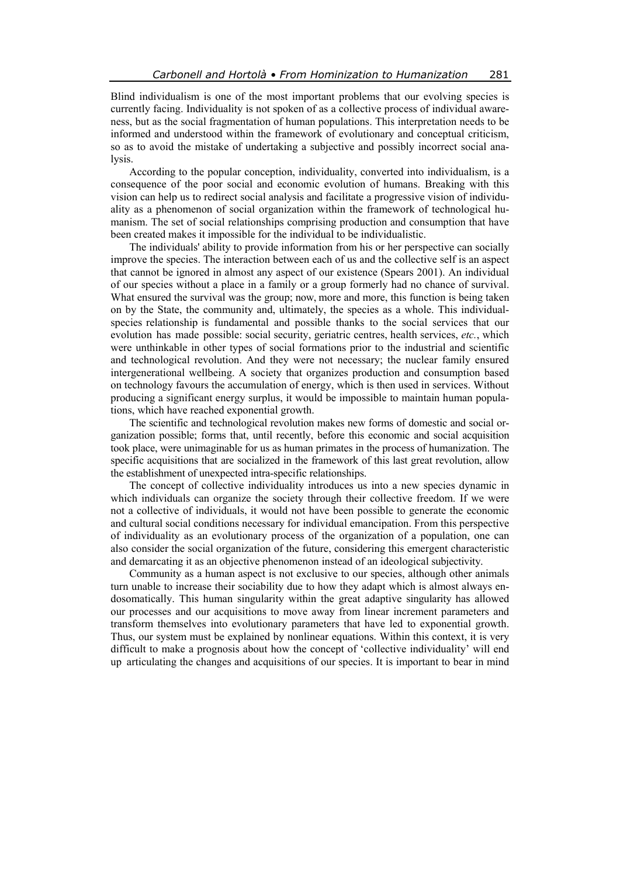Blind individualism is one of the most important problems that our evolving species is currently facing. Individuality is not spoken of as a collective process of individual awareness, but as the social fragmentation of human populations. This interpretation needs to be informed and understood within the framework of evolutionary and conceptual criticism, so as to avoid the mistake of undertaking a subjective and possibly incorrect social analysis.

According to the popular conception, individuality, converted into individualism, is a consequence of the poor social and economic evolution of humans. Breaking with this vision can help us to redirect social analysis and facilitate a progressive vision of individuality as a phenomenon of social organization within the framework of technological humanism. The set of social relationships comprising production and consumption that have been created makes it impossible for the individual to be individualistic.

The individuals' ability to provide information from his or her perspective can socially improve the species. The interaction between each of us and the collective self is an aspect that cannot be ignored in almost any aspect of our existence (Spears 2001). An individual of our species without a place in a family or a group formerly had no chance of survival. What ensured the survival was the group; now, more and more, this function is being taken on by the State, the community and, ultimately, the species as a whole. This individualspecies relationship is fundamental and possible thanks to the social services that our evolution has made possible: social security, geriatric centres, health services, *etc.*, which were unthinkable in other types of social formations prior to the industrial and scientific and technological revolution. And they were not necessary; the nuclear family ensured intergenerational wellbeing. A society that organizes production and consumption based on technology favours the accumulation of energy, which is then used in services. Without producing a significant energy surplus, it would be impossible to maintain human populations, which have reached exponential growth.

The scientific and technological revolution makes new forms of domestic and social organization possible; forms that, until recently, before this economic and social acquisition took place, were unimaginable for us as human primates in the process of humanization. The specific acquisitions that are socialized in the framework of this last great revolution, allow the establishment of unexpected intra-specific relationships.

The concept of collective individuality introduces us into a new species dynamic in which individuals can organize the society through their collective freedom. If we were not a collective of individuals, it would not have been possible to generate the economic and cultural social conditions necessary for individual emancipation. From this perspective of individuality as an evolutionary process of the organization of a population, one can also consider the social organization of the future, considering this emergent characteristic and demarcating it as an objective phenomenon instead of an ideological subjectivity.

Community as a human aspect is not exclusive to our species, although other animals turn unable to increase their sociability due to how they adapt which is almost always endosomatically. This human singularity within the great adaptive singularity has allowed our processes and our acquisitions to move away from linear increment parameters and transform themselves into evolutionary parameters that have led to exponential growth. Thus, our system must be explained by nonlinear equations. Within this context, it is very difficult to make a prognosis about how the concept of 'collective individuality' will end up articulating the changes and acquisitions of our species. It is important to bear in mind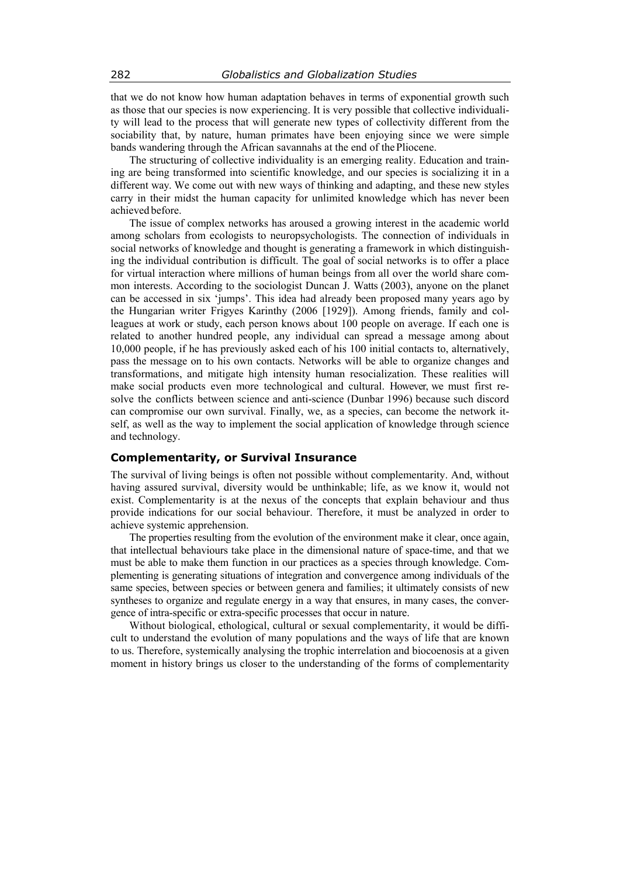that we do not know how human adaptation behaves in terms of exponential growth such as those that our species is now experiencing. It is very possible that collective individuality will lead to the process that will generate new types of collectivity different from the sociability that, by nature, human primates have been enjoying since we were simple bands wandering through the African savannahs at the end of the Pliocene.

The structuring of collective individuality is an emerging reality. Education and training are being transformed into scientific knowledge, and our species is socializing it in a different way. We come out with new ways of thinking and adapting, and these new styles carry in their midst the human capacity for unlimited knowledge which has never been achieved before.

The issue of complex networks has aroused a growing interest in the academic world among scholars from ecologists to neuropsychologists. The connection of individuals in social networks of knowledge and thought is generating a framework in which distinguishing the individual contribution is difficult. The goal of social networks is to offer a place for virtual interaction where millions of human beings from all over the world share common interests. According to the sociologist Duncan J. Watts (2003), anyone on the planet can be accessed in six 'jumps'. This idea had already been proposed many years ago by the Hungarian writer Frigyes Karinthy (2006 [1929]). Among friends, family and colleagues at work or study, each person knows about 100 people on average. If each one is related to another hundred people, any individual can spread a message among about 10,000 people, if he has previously asked each of his 100 initial contacts to, alternatively, pass the message on to his own contacts. Networks will be able to organize changes and transformations, and mitigate high intensity human resocialization. These realities will make social products even more technological and cultural. However, we must first resolve the conflicts between science and anti-science (Dunbar 1996) because such discord can compromise our own survival. Finally, we, as a species, can become the network itself, as well as the way to implement the social application of knowledge through science and technology.

#### **Complementarity, or Survival Insurance**

The survival of living beings is often not possible without complementarity. And, without having assured survival, diversity would be unthinkable; life, as we know it, would not exist. Complementarity is at the nexus of the concepts that explain behaviour and thus provide indications for our social behaviour. Therefore, it must be analyzed in order to achieve systemic apprehension.

The properties resulting from the evolution of the environment make it clear, once again, that intellectual behaviours take place in the dimensional nature of space-time, and that we must be able to make them function in our practices as a species through knowledge. Complementing is generating situations of integration and convergence among individuals of the same species, between species or between genera and families; it ultimately consists of new syntheses to organize and regulate energy in a way that ensures, in many cases, the convergence of intra-specific or extra-specific processes that occur in nature.

Without biological, ethological, cultural or sexual complementarity, it would be difficult to understand the evolution of many populations and the ways of life that are known to us. Therefore, systemically analysing the trophic interrelation and biocoenosis at a given moment in history brings us closer to the understanding of the forms of complementarity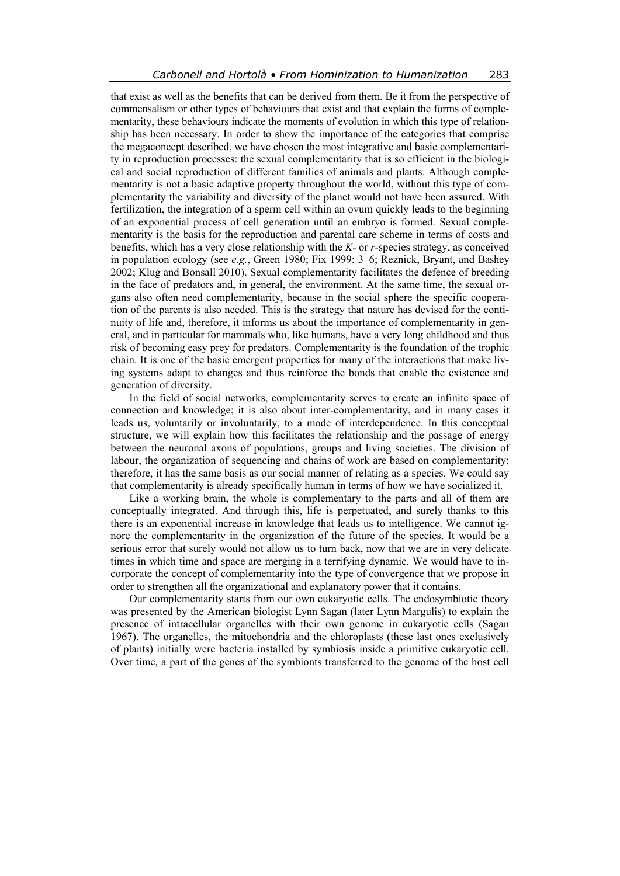that exist as well as the benefits that can be derived from them. Be it from the perspective of commensalism or other types of behaviours that exist and that explain the forms of complementarity, these behaviours indicate the moments of evolution in which this type of relationship has been necessary. In order to show the importance of the categories that comprise the megaconcept described, we have chosen the most integrative and basic complementarity in reproduction processes: the sexual complementarity that is so efficient in the biological and social reproduction of different families of animals and plants. Although complementarity is not a basic adaptive property throughout the world, without this type of complementarity the variability and diversity of the planet would not have been assured. With fertilization, the integration of a sperm cell within an ovum quickly leads to the beginning of an exponential process of cell generation until an embryo is formed. Sexual complementarity is the basis for the reproduction and parental care scheme in terms of costs and benefits, which has a very close relationship with the *K*- or *r*-species strategy, as conceived in population ecology (see *e.g.*, Green 1980; Fix 1999: 3–6; Reznick, Bryant, and Bashey 2002; Klug and Bonsall 2010). Sexual complementarity facilitates the defence of breeding in the face of predators and, in general, the environment. At the same time, the sexual organs also often need complementarity, because in the social sphere the specific cooperation of the parents is also needed. This is the strategy that nature has devised for the continuity of life and, therefore, it informs us about the importance of complementarity in general, and in particular for mammals who, like humans, have a very long childhood and thus risk of becoming easy prey for predators. Complementarity is the foundation of the trophic chain. It is one of the basic emergent properties for many of the interactions that make living systems adapt to changes and thus reinforce the bonds that enable the existence and generation of diversity.

In the field of social networks, complementarity serves to create an infinite space of connection and knowledge; it is also about inter-complementarity, and in many cases it leads us, voluntarily or involuntarily, to a mode of interdependence. In this conceptual structure, we will explain how this facilitates the relationship and the passage of energy between the neuronal axons of populations, groups and living societies. The division of labour, the organization of sequencing and chains of work are based on complementarity; therefore, it has the same basis as our social manner of relating as a species. We could say that complementarity is already specifically human in terms of how we have socialized it.

Like a working brain, the whole is complementary to the parts and all of them are conceptually integrated. And through this, life is perpetuated, and surely thanks to this there is an exponential increase in knowledge that leads us to intelligence. We cannot ignore the complementarity in the organization of the future of the species. It would be a serious error that surely would not allow us to turn back, now that we are in very delicate times in which time and space are merging in a terrifying dynamic. We would have to incorporate the concept of complementarity into the type of convergence that we propose in order to strengthen all the organizational and explanatory power that it contains.

Our complementarity starts from our own eukaryotic cells. The endosymbiotic theory was presented by the American biologist Lynn Sagan (later Lynn Margulis) to explain the presence of intracellular organelles with their own genome in eukaryotic cells (Sagan 1967). The organelles, the mitochondria and the chloroplasts (these last ones exclusively of plants) initially were bacteria installed by symbiosis inside a primitive eukaryotic cell. Over time, a part of the genes of the symbionts transferred to the genome of the host cell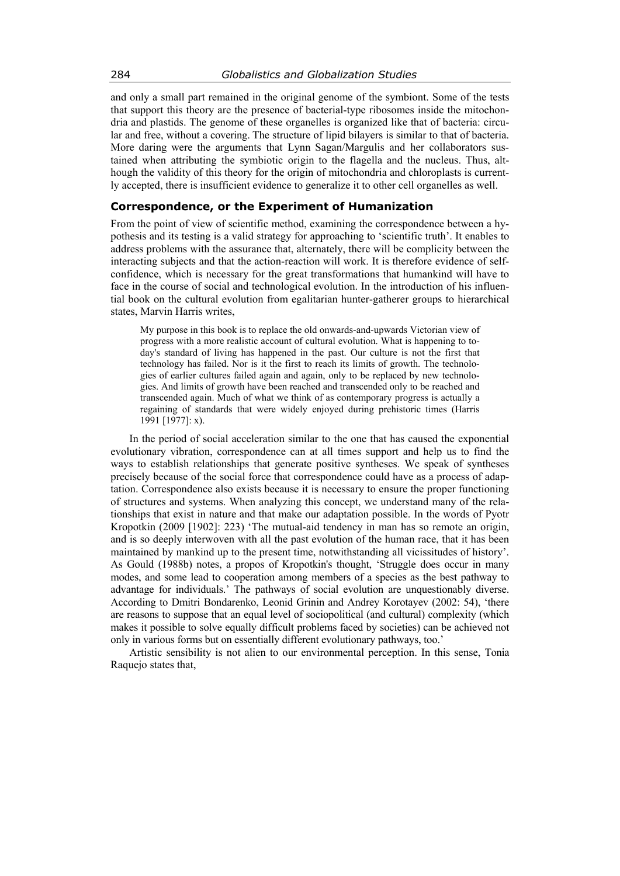and only a small part remained in the original genome of the symbiont. Some of the tests that support this theory are the presence of bacterial-type ribosomes inside the mitochondria and plastids. The genome of these organelles is organized like that of bacteria: circular and free, without a covering. The structure of lipid bilayers is similar to that of bacteria. More daring were the arguments that Lynn Sagan/Margulis and her collaborators sustained when attributing the symbiotic origin to the flagella and the nucleus. Thus, although the validity of this theory for the origin of mitochondria and chloroplasts is currently accepted, there is insufficient evidence to generalize it to other cell organelles as well.

### **Correspondence, or the Experiment of Humanization**

From the point of view of scientific method, examining the correspondence between a hypothesis and its testing is a valid strategy for approaching to 'scientific truth'. It enables to address problems with the assurance that, alternately, there will be complicity between the interacting subjects and that the action-reaction will work. It is therefore evidence of selfconfidence, which is necessary for the great transformations that humankind will have to face in the course of social and technological evolution. In the introduction of his influential book on the cultural evolution from egalitarian hunter-gatherer groups to hierarchical states, Marvin Harris writes,

My purpose in this book is to replace the old onwards-and-upwards Victorian view of progress with a more realistic account of cultural evolution. What is happening to today's standard of living has happened in the past. Our culture is not the first that technology has failed. Nor is it the first to reach its limits of growth. The technologies of earlier cultures failed again and again, only to be replaced by new technologies. And limits of growth have been reached and transcended only to be reached and transcended again. Much of what we think of as contemporary progress is actually a regaining of standards that were widely enjoyed during prehistoric times (Harris 1991 [1977]: x).

In the period of social acceleration similar to the one that has caused the exponential evolutionary vibration, correspondence can at all times support and help us to find the ways to establish relationships that generate positive syntheses. We speak of syntheses precisely because of the social force that correspondence could have as a process of adaptation. Correspondence also exists because it is necessary to ensure the proper functioning of structures and systems. When analyzing this concept, we understand many of the relationships that exist in nature and that make our adaptation possible. In the words of Pyotr Kropotkin (2009 [1902]: 223) 'The mutual-aid tendency in man has so remote an origin, and is so deeply interwoven with all the past evolution of the human race, that it has been maintained by mankind up to the present time, notwithstanding all vicissitudes of history'. As Gould (1988b) notes, a propos of Kropotkin's thought, 'Struggle does occur in many modes, and some lead to cooperation among members of a species as the best pathway to advantage for individuals.' The pathways of social evolution are unquestionably diverse. According to Dmitri Bondarenko, Leonid Grinin and Andrey Korotayev (2002: 54), 'there are reasons to suppose that an equal level of sociopolitical (and cultural) complexity (which makes it possible to solve equally difficult problems faced by societies) can be achieved not only in various forms but on essentially different evolutionary pathways, too.'

Artistic sensibility is not alien to our environmental perception. In this sense, Tonia Raquejo states that,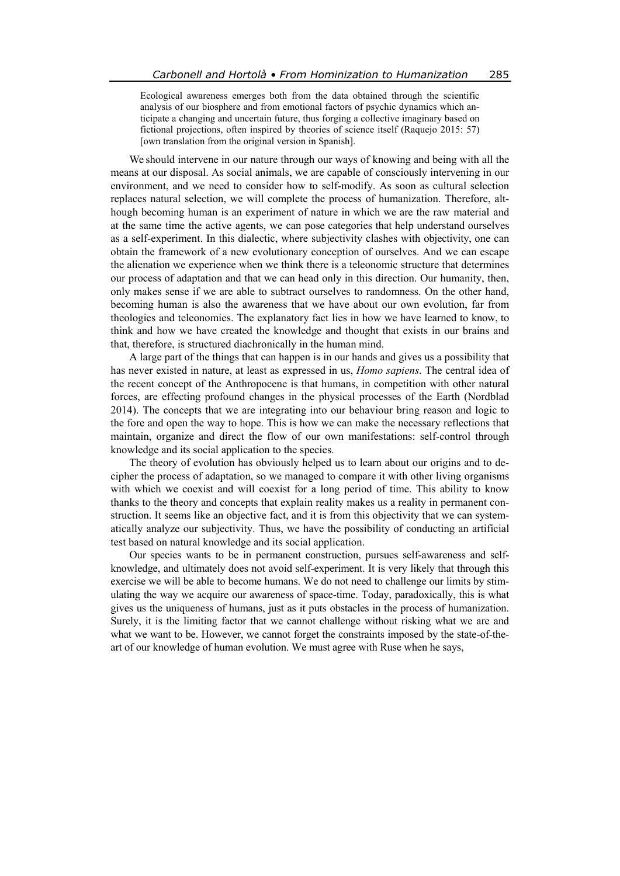Ecological awareness emerges both from the data obtained through the scientific analysis of our biosphere and from emotional factors of psychic dynamics which anticipate a changing and uncertain future, thus forging a collective imaginary based on fictional projections, often inspired by theories of science itself (Raquejo 2015: 57) [own translation from the original version in Spanish].

We should intervene in our nature through our ways of knowing and being with all the means at our disposal. As social animals, we are capable of consciously intervening in our environment, and we need to consider how to self-modify. As soon as cultural selection replaces natural selection, we will complete the process of humanization. Therefore, although becoming human is an experiment of nature in which we are the raw material and at the same time the active agents, we can pose categories that help understand ourselves as a self-experiment. In this dialectic, where subjectivity clashes with objectivity, one can obtain the framework of a new evolutionary conception of ourselves. And we can escape the alienation we experience when we think there is a teleonomic structure that determines our process of adaptation and that we can head only in this direction. Our humanity, then, only makes sense if we are able to subtract ourselves to randomness. On the other hand, becoming human is also the awareness that we have about our own evolution, far from theologies and teleonomies. The explanatory fact lies in how we have learned to know, to think and how we have created the knowledge and thought that exists in our brains and that, therefore, is structured diachronically in the human mind.

A large part of the things that can happen is in our hands and gives us a possibility that has never existed in nature, at least as expressed in us, *Homo sapiens*. The central idea of the recent concept of the Anthropocene is that humans, in competition with other natural forces, are effecting profound changes in the physical processes of the Earth (Nordblad 2014). The concepts that we are integrating into our behaviour bring reason and logic to the fore and open the way to hope. This is how we can make the necessary reflections that maintain, organize and direct the flow of our own manifestations: self-control through knowledge and its social application to the species.

The theory of evolution has obviously helped us to learn about our origins and to decipher the process of adaptation, so we managed to compare it with other living organisms with which we coexist and will coexist for a long period of time. This ability to know thanks to the theory and concepts that explain reality makes us a reality in permanent construction. It seems like an objective fact, and it is from this objectivity that we can systematically analyze our subjectivity. Thus, we have the possibility of conducting an artificial test based on natural knowledge and its social application.

Our species wants to be in permanent construction, pursues self-awareness and selfknowledge, and ultimately does not avoid self-experiment. It is very likely that through this exercise we will be able to become humans. We do not need to challenge our limits by stimulating the way we acquire our awareness of space-time. Today, paradoxically, this is what gives us the uniqueness of humans, just as it puts obstacles in the process of humanization. Surely, it is the limiting factor that we cannot challenge without risking what we are and what we want to be. However, we cannot forget the constraints imposed by the state-of-theart of our knowledge of human evolution. We must agree with Ruse when he says,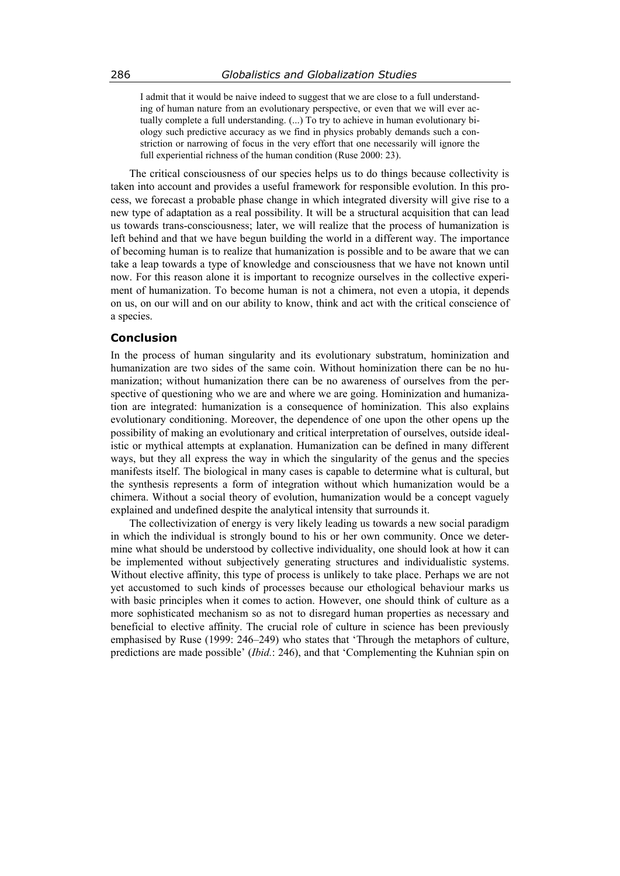I admit that it would be naive indeed to suggest that we are close to a full understanding of human nature from an evolutionary perspective, or even that we will ever actually complete a full understanding. (...) To try to achieve in human evolutionary biology such predictive accuracy as we find in physics probably demands such a constriction or narrowing of focus in the very effort that one necessarily will ignore the full experiential richness of the human condition (Ruse 2000: 23).

The critical consciousness of our species helps us to do things because collectivity is taken into account and provides a useful framework for responsible evolution. In this process, we forecast a probable phase change in which integrated diversity will give rise to a new type of adaptation as a real possibility. It will be a structural acquisition that can lead us towards trans-consciousness; later, we will realize that the process of humanization is left behind and that we have begun building the world in a different way. The importance of becoming human is to realize that humanization is possible and to be aware that we can take a leap towards a type of knowledge and consciousness that we have not known until now. For this reason alone it is important to recognize ourselves in the collective experiment of humanization. To become human is not a chimera, not even a utopia, it depends on us, on our will and on our ability to know, think and act with the critical conscience of a species.

#### **Conclusion**

In the process of human singularity and its evolutionary substratum, hominization and humanization are two sides of the same coin. Without hominization there can be no humanization; without humanization there can be no awareness of ourselves from the perspective of questioning who we are and where we are going. Hominization and humanization are integrated: humanization is a consequence of hominization. This also explains evolutionary conditioning. Moreover, the dependence of one upon the other opens up the possibility of making an evolutionary and critical interpretation of ourselves, outside idealistic or mythical attempts at explanation. Humanization can be defined in many different ways, but they all express the way in which the singularity of the genus and the species manifests itself. The biological in many cases is capable to determine what is cultural, but the synthesis represents a form of integration without which humanization would be a chimera. Without a social theory of evolution, humanization would be a concept vaguely explained and undefined despite the analytical intensity that surrounds it.

The collectivization of energy is very likely leading us towards a new social paradigm in which the individual is strongly bound to his or her own community. Once we determine what should be understood by collective individuality, one should look at how it can be implemented without subjectively generating structures and individualistic systems. Without elective affinity, this type of process is unlikely to take place. Perhaps we are not yet accustomed to such kinds of processes because our ethological behaviour marks us with basic principles when it comes to action. However, one should think of culture as a more sophisticated mechanism so as not to disregard human properties as necessary and beneficial to elective affinity. The crucial role of culture in science has been previously emphasised by Ruse (1999: 246–249) who states that 'Through the metaphors of culture, predictions are made possible' (*Ibid.*: 246), and that 'Complementing the Kuhnian spin on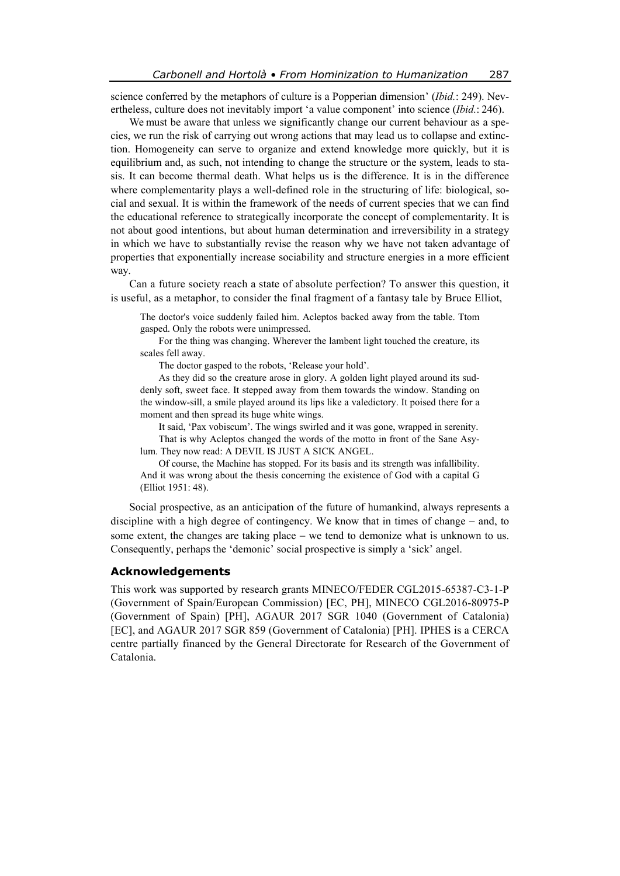science conferred by the metaphors of culture is a Popperian dimension' (*Ibid.*: 249). Nevertheless, culture does not inevitably import 'a value component' into science (*Ibid.*: 246).

We must be aware that unless we significantly change our current behaviour as a species, we run the risk of carrying out wrong actions that may lead us to collapse and extinction. Homogeneity can serve to organize and extend knowledge more quickly, but it is equilibrium and, as such, not intending to change the structure or the system, leads to stasis. It can become thermal death. What helps us is the difference. It is in the difference where complementarity plays a well-defined role in the structuring of life: biological, social and sexual. It is within the framework of the needs of current species that we can find the educational reference to strategically incorporate the concept of complementarity. It is not about good intentions, but about human determination and irreversibility in a strategy in which we have to substantially revise the reason why we have not taken advantage of properties that exponentially increase sociability and structure energies in a more efficient way.

Can a future society reach a state of absolute perfection? To answer this question, it is useful, as a metaphor, to consider the final fragment of a fantasy tale by Bruce Elliot,

The doctor's voice suddenly failed him. Acleptos backed away from the table. Ttom gasped. Only the robots were unimpressed.

For the thing was changing. Wherever the lambent light touched the creature, its scales fell away.

The doctor gasped to the robots, 'Release your hold'.

As they did so the creature arose in glory. A golden light played around its suddenly soft, sweet face. It stepped away from them towards the window. Standing on the window-sill, a smile played around its lips like a valedictory. It poised there for a moment and then spread its huge white wings.

It said, 'Pax vobiscum'. The wings swirled and it was gone, wrapped in serenity. That is why Acleptos changed the words of the motto in front of the Sane Asylum. They now read: A DEVIL IS JUST A SICK ANGEL.

Of course, the Machine has stopped. For its basis and its strength was infallibility. And it was wrong about the thesis concerning the existence of God with a capital G (Elliot 1951: 48).

Social prospective, as an anticipation of the future of humankind, always represents a discipline with a high degree of contingency. We know that in times of change  $-$  and, to some extent, the changes are taking place  $-$  we tend to demonize what is unknown to us. Consequently, perhaps the 'demonic' social prospective is simply a 'sick' angel.

## **Acknowledgements**

This work was supported by research grants MINECO/FEDER CGL2015-65387-C3-1-P (Government of Spain/European Commission) [EC, PH], MINECO CGL2016-80975-P (Government of Spain) [PH], AGAUR 2017 SGR 1040 (Government of Catalonia) [EC], and AGAUR 2017 SGR 859 (Government of Catalonia) [PH]. IPHES is a CERCA centre partially financed by the General Directorate for Research of the Government of Catalonia.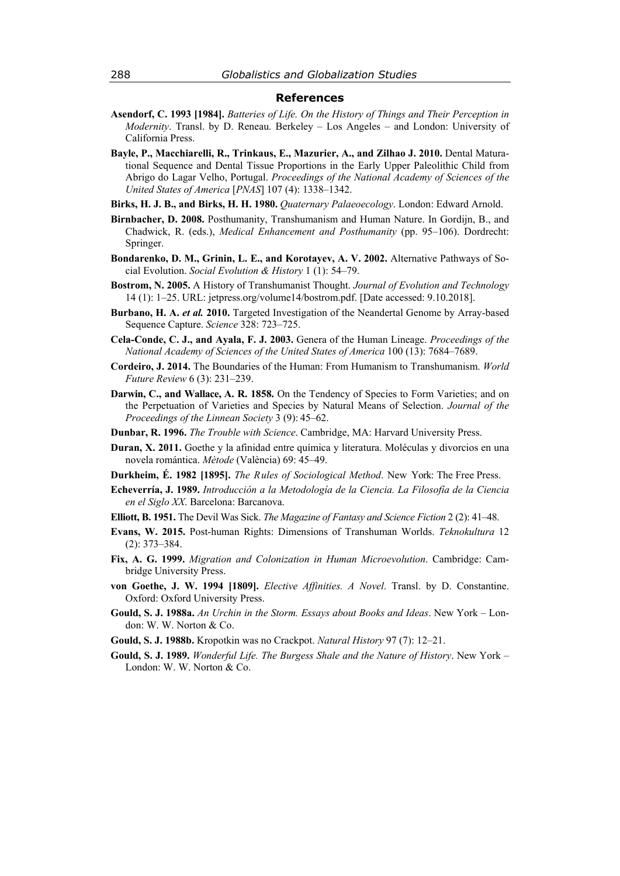#### **References**

- **Asendorf, C. 1993 [1984].** *Batteries of Life. On the History of Things and Their Perception in Modernity*. Transl. by D. Reneau. Berkeley – Los Angeles – and London: University of California Press.
- **Bayle, P., Macchiarelli, R., Trinkaus, E., Mazurier, A., and Zilhao J. 2010.** Dental Maturational Sequence and Dental Tissue Proportions in the Early Upper Paleolithic Child from Abrigo do Lagar Velho, Portugal. *Proceedings of the National Academy of Sciences of the United States of America* [*PNAS*] 107 (4): 1338–1342.
- **Birks, H. J. B., and Birks, H. H. 1980.** *Quaternary Palaeoecology*. London: Edward Arnold.
- **Birnbacher, D. 2008.** Posthumanity, Transhumanism and Human Nature. In Gordijn, B., and Chadwick, R. (eds.), *Medical Enhancement and Posthumanity* (pp. 95–106). Dordrecht: Springer.
- **Bondarenko, D. M., Grinin, L. E., and Korotayev, A. V. 2002.** Alternative Pathways of Social Evolution. *Social Evolution & History* 1 (1): 54–79.
- **Bostrom, N. 2005.** A History of Transhumanist Thought. *Journal of Evolution and Technology*  14 (1): 1–25. URL: jetpress.org/volume14/bostrom.pdf. [Date accessed: 9.10.2018].
- **Burbano, H. A.** *et al.* **2010.** Targeted Investigation of the Neandertal Genome by Array-based Sequence Capture. *Science* 328: 723–725.
- **Cela-Conde, C. J., and Ayala, F. J. 2003.** Genera of the Human Lineage. *Proceedings of the National Academy of Sciences of the United States of America* 100 (13): 7684–7689.
- **Cordeiro, J. 2014.** The Boundaries of the Human: From Humanism to Transhumanism. *World Future Review* 6 (3): 231–239.
- **Darwin, C., and Wallace, A. R. 1858.** On the Tendency of Species to Form Varieties; and on the Perpetuation of Varieties and Species by Natural Means of Selection. *Journal of the Proceedings of the Linnean Society* 3 (9): 45–62.
- **Dunbar, R. 1996.** *The Trouble with Science*. Cambridge, MA: Harvard University Press.
- **Duran, X. 2011.** Goethe y la afinidad entre química y literatura. Moléculas y divorcios en una novela romántica. *Mètode* (València) 69: 45–49.
- **Durkheim, É. 1982 [1895].** *The Rules of Sociological Method*. New York: The Free Press.
- **Echeverría, J. 1989.** *Introducción a la Metodología de la Ciencia. La Filosofía de la Ciencia en el Siglo XX*. Barcelona: Barcanova.
- **Elliott, B. 1951.** The Devil Was Sick. *The Magazine of Fantasy and Science Fiction* 2 (2): 41–48.
- **Evans, W. 2015.** Post-human Rights: Dimensions of Transhuman Worlds. *Teknokultura* 12 (2): 373–384.
- **Fix, A. G. 1999.** *Migration and Colonization in Human Microevolution*. Cambridge: Cambridge University Press.
- **von Goethe, J. W. 1994 [1809].** *Elective Affinities. A Novel*. Transl. by D. Constantine. Oxford: Oxford University Press.
- **Gould, S. J. 1988a.** *An Urchin in the Storm. Essays about Books and Ideas*. New York London: W. W. Norton & Co.
- **Gould, S. J. 1988b.** Kropotkin was no Crackpot. *Natural History* 97 (7): 12–21.
- **Gould, S. J. 1989.** *Wonderful Life. The Burgess Shale and the Nature of History*. New York London: W. W. Norton & Co.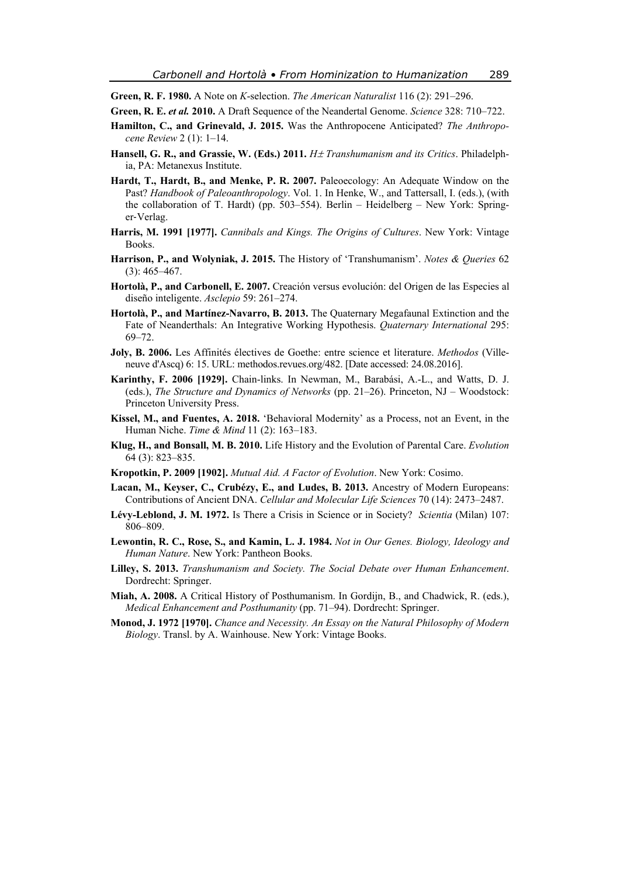**Green, R. F. 1980.** A Note on *K*-selection. *The American Naturalist* 116 (2): 291–296.

- **Green, R. E.** *et al.* **2010.** A Draft Sequence of the Neandertal Genome. *Science* 328: 710–722.
- **Hamilton, C., and Grinevald, J. 2015.** Was the Anthropocene Anticipated? *The Anthropocene Review* 2 (1): 1–14.
- **Hansell, G. R., and Grassie, W. (Eds.) 2011.** *H Transhumanism and its Critics*. Philadelphia, PA: Metanexus Institute.
- **Hardt, T., Hardt, B., and Menke, P. R. 2007.** Paleoecology: An Adequate Window on the Past? *Handbook of Paleoanthropology*. Vol. 1. In Henke, W., and Tattersall, I. (eds.), (with the collaboration of T. Hardt) (pp. 503–554). Berlin – Heidelberg – New York: Springer‐Verlag.
- **Harris, M. 1991 [1977].** *Cannibals and Kings. The Origins of Cultures*. New York: Vintage **Books**.
- **Harrison, P., and Wolyniak, J. 2015.** The History of 'Transhumanism'. *Notes & Queries* 62  $(3)$ : 465–467.
- **Hortolà, P., and Carbonell, E. 2007.** Creación versus evolución: del Origen de las Especies al diseño inteligente. *Asclepio* 59: 261–274.
- **Hortolà, P., and Martínez-Navarro, B. 2013.** The Quaternary Megafaunal Extinction and the Fate of Neanderthals: An Integrative Working Hypothesis. *Quaternary International* 295: 69–72.
- **Joly, B. 2006.** Les Affinités électives de Goethe: entre science et literature. *Methodos* (Villeneuve d'Ascq) 6: 15. URL: methodos.revues.org/482. [Date accessed: 24.08.2016].
- **Karinthy, F. 2006 [1929].** Chain-links. In Newman, M., Barabási, A.-L., and Watts, D. J. (eds.), *The Structure and Dynamics of Networks* (pp. 21–26). Princeton, NJ – Woodstock: Princeton University Press.
- **Kissel, M., and Fuentes, A. 2018.** 'Behavioral Modernity' as a Process, not an Event, in the Human Niche. *Time & Mind* 11 (2): 163–183.
- **Klug, H., and Bonsall, M. B. 2010.** Life History and the Evolution of Parental Care. *Evolution* 64 (3): 823–835.
- **Kropotkin, P. 2009 [1902].** *Mutual Aid. A Factor of Evolution*. New York: Cosimo.
- **Lacan, M., Keyser, C., Crubézy, E., and Ludes, B. 2013.** Ancestry of Modern Europeans: Contributions of Ancient DNA. *Cellular and Molecular Life Sciences* 70 (14): 2473–2487.
- **Lévy-Leblond, J. M. 1972.** Is There a Crisis in Science or in Society? *Scientia* (Milan) 107: 806–809.
- **Lewontin, R. C., Rose, S., and Kamin, L. J. 1984.** *Not in Our Genes. Biology, Ideology and Human Nature*. New York: Pantheon Books.
- **Lilley, S. 2013.** *Transhumanism and Society. The Social Debate over Human Enhancement*. Dordrecht: Springer.
- **Miah, A. 2008.** A Critical History of Posthumanism. In Gordijn, B., and Chadwick, R. (eds.), *Medical Enhancement and Posthumanity* (pp. 71–94). Dordrecht: Springer.
- **Monod, J. 1972 [1970].** *Chance and Necessity. An Essay on the Natural Philosophy of Modern Biology*. Transl. by A. Wainhouse. New York: Vintage Books.